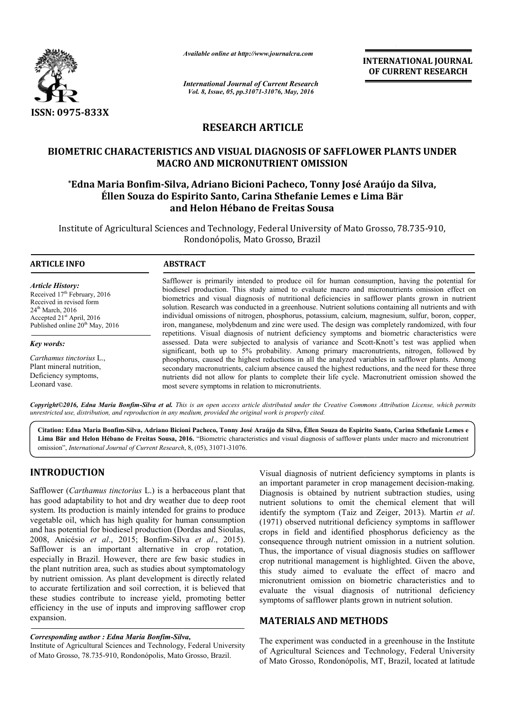

*Available online at http://www.journalcra.com*

**INTERNATIONAL JOURNAL OF CURRENT RESEARCH** 

*International Journal of Current Research Vol. 8, Issue, 05, pp.31071-31076, May, 2016*

# **RESEARCH ARTICLE**

# **BIOMETRIC CHARACTERISTICS AND VISUAL DIAGNOSIS OF SAFFLOWER PLANTS UNDER MACRO AND MICRONUTRIENT OMISSION** METRIC CHARACTERISTICS AND VISUAL DIAGNOSIS OF SAFFLOWER PLANTS UN<br>MACRO AND MICRONUTRIENT OMISSION<br>Edna Maria Bonfim-Silva, Adriano Bicioni Pacheco, Tonny José Araújo da Silva,\*

# **Éllen Souza do Espirito Santo, Carina Sthefanie Lemes e Lima Bär Lima Bär and Helon Hébano de Freitas Sousa**

Institute of Agricultural Sciences and Technology, Federal University of Mato Grosso, 78.735 Mato Grosso, 78.735-910, Rondonópolis, Mato Grosso, Brazil

1

#### **ARTICLE INFO ABSTRACT**

*Article History:* Received 17<sup>th</sup> February, 2016 Received in revised form 24<sup>th</sup> March, 2016 Accepted 21st April, 2016 Published online 20<sup>th</sup> May, 2016

*Key words:*

*Carthamus tinctorius* L., Plant mineral nutrition, Deficiency symptoms, Leonard vase.

Safflower is primarily intended to produce oil for human consumption, having the potential for biodiesel production. This study aimed to evaluate macro and micronutrients omission effect on biometrics and visual diagnosis of nutritional deficiencies in safflower plants grown in nutrient solution. Research was conducted in a greenhouse. Nutrient solutions containing all nutrients and with individual omissions of nitrogen, phosphorus, potassium, calcium, magnesium, sulfur, boron, copper, iron, manganese, molybdenum and zinc were used. The design was completely randomized, with four repetitions. Visual diagnosis of nutrient deficiency symptoms and biometric characteristics were individual omissions of nitrogen, phosphorus, potassium, calcium, magnesium, sulfur, boron, copper, iron, manganese, molybdenum and zinc were used. The design was completely randomized, with four repetitions. Visual diagno significant, both up to 5% probability. Among primary macronutrients, nitrogen, followed by phosphorus, caused the highest reductions in all the analyzed variables in safflower plants. Among secondary macronutrients, calcium absence caused the highest reductions, and the need for these three phosphorus, caused the highest reductions in all the analyzed variables in safflower plants. Among<br>secondary macronutrients, calcium absence caused the highest reductions, and the need for these three<br>nutrients did not all most severe symptoms in relation to micronutrients. Safflower is primarily intended to produce oil for human consumption, having the potential for biodiesel production. This study aimed to evaluate macro and micronutrients omission effect on biometrics and visual diagnosis significant, both up to 5% probability. Among primary macronutrients, phosphorus, caused the highest reductions in all the analyzed variables in sa secondary macronutrients, calcium absence caused the highest reductions, a

Copyright©2016, Edna Maria Bonfim-Silva et al. This is an open access article distributed under the Creative Commons Attribution License, which permits *unrestricted use, distribution, and reproduction in any medium, provided the original work is properly cited.*

Citation: Edna Maria Bonfim-Silva, Adriano Bicioni Pacheco, Tonny José Araújo da Silva, Éllen Souza do Espirito Santo, Carina Sthefanie Lemes e Citation: Edna Maria Bonfim-Silva, Adriano Bicioni Pacheco, Tonny José Araújo da Silva, Éllen Souza do Espirito Santo, Carina Sthefanie Lemes e<br>Lima Bär and Helon Hébano de Freitas Sousa, 2016. "Biometric characteristics a omission", *International Journal of Current Research* , 8, (05), 31071-31076.

## **INTRODUCTION**

Safflower (*Carthamus tinctorius* L.) is a herbaceous plant that has good adaptability to hot and dry weather due to deep root system. Its production is mainly intended for grains to produce vegetable oil, which has high quality for human consumption and has potential for biodiesel production (Dordas and Sioulas, 2008, Anicésio et al., 2015; Bonfim-Silva et al., 2015). Safflower is an important alternative in crop rotation, especially in Brazil. However, there are few basic studies in the plant nutrition area, such as studies about symptomatology by nutrient omission. As plant development is directly related to accurate fertilization and soil correction, it is believed that these studies contribute to increase yield, promoting better efficiency in the use of inputs and improving safflower crop expansion. re<br>die<br>elc<br>sre<br>se

#### *Corresponding author : Edna Maria Bonfim-Silva Silva,*

Institute of Agricultural Sciences and Technology, Federal University of Mato Grosso, 78.735-910, Rondonópolis, Mato Grosso, Brazil.

Visual diagnosis of nutrient deficiency symptoms in plants is Visual diagnosis of nutrient deficiency symptoms in plants is an important parameter in crop management decision-making. Diagnosis is obtained by nutrient subtraction studies, using nutrient solutions to omit the chemical element that will identify the symptom (Taiz and Zeiger, 2013). Martin et al. (1971) observed nutritional deficiency symptoms in safflower crops in field and identified phosphorus deficiency as the crops in field and identified phosphorus deficiency as the consequence through nutrient omission in a nutrient solution. Thus, the importance of visual diagnosis studies on safflower crop nutritional management is highlighted. Given the above, this study aimed to evaluate the effect of macro and micronutrient omission on biometric characteristics and to evaluate the visual diagnosis of nutritional deficiency symptoms of safflower plants grown in nutrient solution. Thus, the importance of visual diagnosis studies on safflower<br>crop nutritional management is highlighted. Given the above,<br>this study aimed to evaluate the effect of macro and<br>micronutrient omission on biometric characteri EXPERIMATIONAL JOURNAL<br>
FIRENCES CONSISTON CONTRESS (THE CONTRESS) And the CONSISTON CONSISTON CONTRESS (SEE AGRICULTURE CONSISS OF SAFFLOWER PLANTS UNDER REENT OMISSION 24. CONSISS OF SAFFLOWER PLANTS UNDER REENT OMISSIO

## **MATERIALS AND METHODS METHODS**

The experiment was conducted in a greenhouse in the Institute of Agricultural Sciences and Technology, Federal University of Mato Grosso, Rondonópolis, MT, Brazil, located at latitude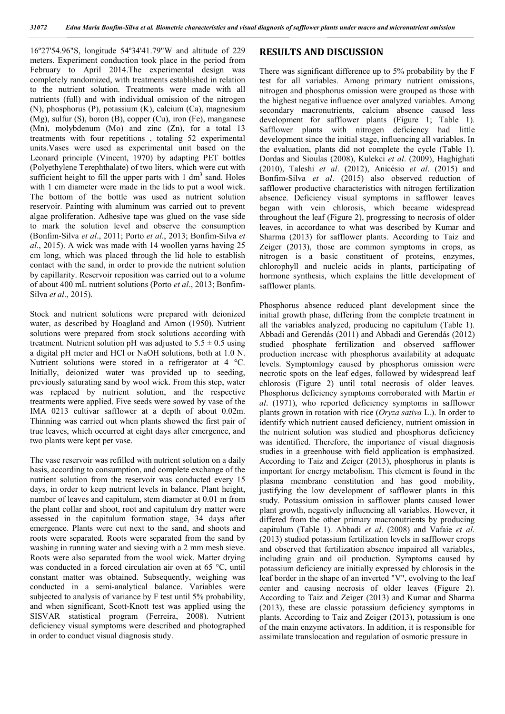16º27'54.96"S, longitude 54º34'41.79"W and altitude of 229 meters. Experiment conduction took place in the period from February to April 2014.The experimental design was completely randomized, with treatments established in relation to the nutrient solution. Treatments were made with all nutrients (full) and with individual omission of the nitrogen (N), phosphorus (P), potassium (K), calcium (Ca), magnesium (Mg), sulfur (S), boron (B), copper (Cu), iron (Fe), manganese (Mn), molybdenum (Mo) and zinc (Zn), for a total 13 treatments with four repetitions , totaling 52 experimental units.Vases were used as experimental unit based on the Leonard principle (Vincent, 1970) by adapting PET bottles (Polyethylene Terephthalate) of two liters, which were cut with sufficient height to fill the upper parts with  $1 \text{ dm}^3$  sand. Holes with 1 cm diameter were made in the lids to put a wool wick. The bottom of the bottle was used as nutrient solution reservoir. Painting with aluminum was carried out to prevent algae proliferation. Adhesive tape was glued on the vase side to mark the solution level and observe the consumption (Bonfim-Silva *et al*., 2011; Porto *et al*., 2013; Bonfim-Silva *et al*., 2015). A wick was made with 14 woollen yarns having 25 cm long, which was placed through the lid hole to establish contact with the sand, in order to provide the nutrient solution by capillarity. Reservoir reposition was carried out to a volume of about 400 mL nutrient solutions (Porto *et al*., 2013; Bonfim-Silva *et al*., 2015).

Stock and nutrient solutions were prepared with deionized water, as described by Hoagland and Arnon (1950). Nutrient solutions were prepared from stock solutions according with treatment. Nutrient solution pH was adjusted to  $5.5 \pm 0.5$  using a digital pH meter and HCl or NaOH solutions, both at 1.0 N. Nutrient solutions were stored in a refrigerator at 4 °C. Initially, deionized water was provided up to seeding, previously saturating sand by wool wick. From this step, water was replaced by nutrient solution, and the respective treatments were applied. Five seeds were sowed by vase of the IMA 0213 cultivar safflower at a depth of about 0.02m. Thinning was carried out when plants showed the first pair of true leaves, which occurred at eight days after emergence, and two plants were kept per vase.

The vase reservoir was refilled with nutrient solution on a daily basis, according to consumption, and complete exchange of the nutrient solution from the reservoir was conducted every 15 days, in order to keep nutrient levels in balance. Plant height, number of leaves and capitulum, stem diameter at 0.01 m from the plant collar and shoot, root and capitulum dry matter were assessed in the capitulum formation stage, 34 days after emergence. Plants were cut next to the sand, and shoots and roots were separated. Roots were separated from the sand by washing in running water and sieving with a 2 mm mesh sieve. Roots were also separated from the wool wick. Matter drying was conducted in a forced circulation air oven at 65 °C, until constant matter was obtained. Subsequently, weighing was conducted in a semi-analytical balance. Variables were subjected to analysis of variance by F test until 5% probability, and when significant, Scott-Knott test was applied using the SISVAR statistical program (Ferreira, 2008). Nutrient deficiency visual symptoms were described and photographed in order to conduct visual diagnosis study.

### **RESULTS AND DISCUSSION**

There was significant difference up to 5% probability by the F test for all variables. Among primary nutrient omissions, nitrogen and phosphorus omission were grouped as those with the highest negative influence over analyzed variables. Among secondary macronutrients, calcium absence caused less development for safflower plants (Figure 1; Table 1). Safflower plants with nitrogen deficiency had little development since the initial stage, influencing all variables. In the evaluation, plants did not complete the cycle (Table 1). Dordas and Sioulas (2008), Kulekci *et al*. (2009), Haghighati (2010), Taleshi *et al*. (2012), Anicésio *et al*. (2015) and Bonfim-Silva *et al*. (2015) also observed reduction of safflower productive characteristics with nitrogen fertilization absence. Deficiency visual symptoms in safflower leaves began with vein chlorosis, which became widespread throughout the leaf (Figure 2), progressing to necrosis of older leaves, in accordance to what was described by Kumar and Sharma (2013) for safflower plants. According to Taiz and Zeiger (2013), those are common symptoms in crops, as nitrogen is a basic constituent of proteins, enzymes, chlorophyll and nucleic acids in plants, participating of hormone synthesis, which explains the little development of safflower plants.

Phosphorus absence reduced plant development since the initial growth phase, differing from the complete treatment in all the variables analyzed, producing no capitulum (Table 1). Abbadi and Gerendás (2011) and Abbadi and Gerendás (2012) studied phosphate fertilization and observed safflower production increase with phosphorus availability at adequate levels. Symptomlogy caused by phosphorus omission were necrotic spots on the leaf edges, followed by widespread leaf chlorosis (Figure 2) until total necrosis of older leaves. Phosphorus deficiency symptoms corroborated with Martin *et al*. (1971), who reported deficiency symptoms in safflower plants grown in rotation with rice (*Oryza sativa* L.). In order to identify which nutrient caused deficiency, nutrient omission in the nutrient solution was studied and phosphorus deficiency was identified. Therefore, the importance of visual diagnosis studies in a greenhouse with field application is emphasized. According to Taiz and Zeiger (2013), phosphorus in plants is important for energy metabolism. This element is found in the plasma membrane constitution and has good mobility, justifying the low development of safflower plants in this study. Potassium omission in safflower plants caused lower plant growth, negatively influencing all variables. However, it differed from the other primary macronutrients by producing capitulum (Table 1). Abbadi *et al*. (2008) and Vafaie *et al*. (2013) studied potassium fertilization levels in safflower crops and observed that fertilization absence impaired all variables, including grain and oil production. Symptoms caused by potassium deficiency are initially expressed by chlorosis in the leaf border in the shape of an inverted "V", evolving to the leaf center and causing necrosis of older leaves (Figure 2). According to Taiz and Zeiger (2013) and Kumar and Sharma (2013), these are classic potassium deficiency symptoms in plants. According to Taiz and Zeiger (2013), potassium is one of the main enzyme activators. In addition, it is responsible for assimilate translocation and regulation of osmotic pressure in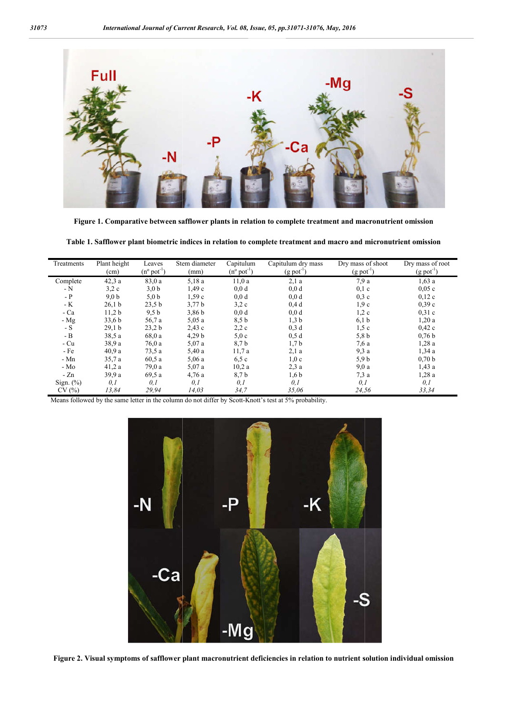

Figure 1. Comparative between safflower plants in relation to complete treatment and macronutrient omission

Table 1. Safflower plant biometric indices in relation to complete treatment and macro and micronutrient omission

| Treatments   | Plant height<br>(cm) | Leaves<br>$(n^{\circ} \text{pot}^{-1})$ | Stem diameter<br>(mm) | Capitulum<br>$(n^{\circ} \text{pot}^{-1})$ | Capitulum dry mass<br>$(g$ pot <sup>-1</sup> ) | Dry mass of shoot<br>$(g$ pot <sup>-1</sup> ) | Dry mass of root<br>$(g$ pot <sup>-1</sup> ) |
|--------------|----------------------|-----------------------------------------|-----------------------|--------------------------------------------|------------------------------------------------|-----------------------------------------------|----------------------------------------------|
| Complete     | 42,3a                | 83,0a                                   | 5,18a                 | 11,0a                                      | 2,1a                                           | 7.9a                                          | 1,63a                                        |
| - N          | 3,2c                 | 3,0 b                                   | 1,49c                 | 0,0d                                       | 0,0d                                           | $0,1$ c                                       | 0,05c                                        |
| $-$ P        | 9.0 <sub>b</sub>     | 5,0 b                                   | 1,59c                 | 0,0d                                       | 0,0d                                           | 0.3c                                          | 0,12c                                        |
| - K          | 26.1 <sub>b</sub>    | 23,5 b                                  | 3,77 b                | 3.2c                                       | 0.4d                                           | 1.9c                                          | 0,39c                                        |
| - Ca         | 11.2 <sub>b</sub>    | 9,5 b                                   | 3,86 <sub>b</sub>     | 0,0d                                       | 0,0d                                           | 1,2c                                          | 0,31c                                        |
| - Mg         | 33,6 b               | 56,7 a                                  | 5,05a                 | 8,5 b                                      | 1,3 b                                          | 6,1 b                                         | 1,20a                                        |
| $-S$         | 29,1 b               | 23.2 <sub>b</sub>                       | 2.43c                 | 2,2c                                       | $0,3$ d                                        | 1,5c                                          | 0,42c                                        |
| - B          | 38,5a                | 68,0 a                                  | 4,29 b                | 5,0c                                       | 0,5d                                           | 5,8 b                                         | 0.76 <sub>b</sub>                            |
| - Cu         | 38.9a                | 76.0a                                   | 5,07a                 | 8,7b                                       | 1,7b                                           | 7.6a                                          | 1,28a                                        |
| $-Fe$        | 40.9a                | 73,5a                                   | 5,40a                 | 11,7a                                      | 2,1a                                           | 9,3a                                          | 1.34a                                        |
| $-Mn$        | 35.7a                | 60.5a                                   | 5,06a                 | 6,5c                                       | 1,0c                                           | 5.9 <sub>b</sub>                              | 0,70 b                                       |
| $-Mo$        | 41,2a                | 79,0a                                   | 5,07a                 | 10,2a                                      | 2,3a                                           | 9,0a                                          | 1,43a                                        |
| $-Zn$        | 39.9a                | 69,5a                                   | 4.76a                 | 8,7b                                       | 1,6 b                                          | 7,3a                                          | 1,28a                                        |
| Sign. $(\%)$ | 0,1                  | 0,1                                     | 0,1                   | 0,1                                        | 0,1                                            | 0,1                                           | 0,1                                          |
| CV(%)        | 13.84                | 29,94                                   | 14.03                 | 34.7                                       | 35.06                                          | 24,56                                         | 33.34                                        |

Means followed by the same letter in the column do not differ by Scott-Knott's test at 5% probability.



**Figure 2. Visual symptoms of safflower plant macronutrient deficiencies in relation to nutrient solution individual omission nt solution individual omission**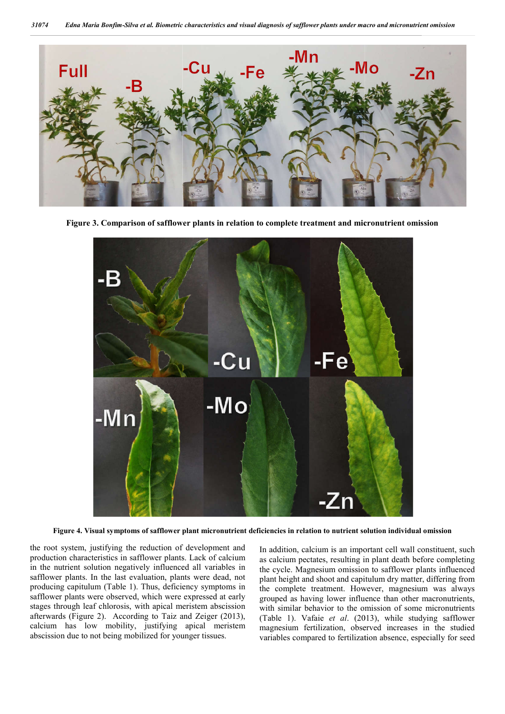

**Figure 3. Comparison of safflower plants in relation to complete treat treatment and micronutrient omission**



**Figure 4. Visual symptoms of safflower plant micronutrient deficiencies in relation to nutrient solution individual omission**

the root system, justifying the reduction of development and production characteristics in safflower plants. Lack of calcium in the nutrient solution negatively influenced all variables in safflower plants. In the last evaluation, plants were dead, not producing capitulum (Table 1). Thus, deficiency symptoms in safflower plants were observed, which were expressed at early stages through leaf chlorosis, with apical meristem abscission afterwards (Figure 2). According to Taiz and Zeiger (2013), calcium has low mobility, justifying apical meristem abscission due to not being mobilized for younger tissues.

In addition, calcium is an important cell wall constituent, such<br>racteristics in safflower plants. Lack of calcium<br>solution negatively influenced all variables in<br>the cycle. Magnesium omission to safflower plants influenc as calcium pectates, resulting in plant death before completing the cycle. Magnesium omission to safflower plants influenced plant height and shoot and capitulum dry matter, differing from the complete treatment. However, magnesium was always grouped as having lower influence than other macronutrients, with similar behavior to the omission of some micronutrients (Table 1). Vafaie *et al*. (2013), while studying safflower magnesium fertilization, observed increases in the studied variables compared to fertilization absence, especially for seed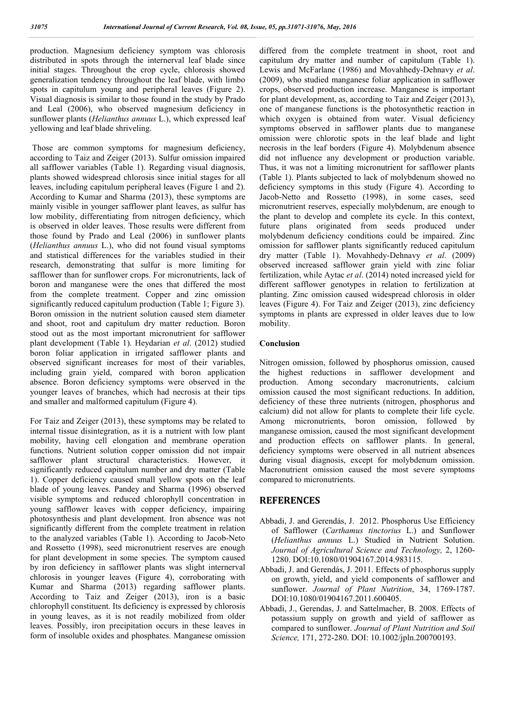production. Magnesium deficiency symptom was chlorosis distributed in spots through the internerval leaf blade since initial stages. Throughout the crop cycle, chlorosis showed generalization tendency throughout the leaf blade, with limbo spots in capitulum young and peripheral leaves (Figure 2). Visual diagnosis is similar to those found in the study by Prado and Leal (2006), who observed magnesium deficiency in sunflower plants (*Helianthus annuus* L.), which expressed leaf yellowing and leaf blade shriveling.

Those are common symptoms for magnesium deficiency, according to Taiz and Zeiger (2013). Sulfur omission impaired all safflower variables (Table 1). Regarding visual diagnosis, plants showed widespread chlorosis since initial stages for all leaves, including capitulum peripheral leaves (Figure 1 and 2). According to Kumar and Sharma (2013), these symptoms are mainly visible in younger safflower plant leaves, as sulfur has low mobility, differentiating from nitrogen deficiency, which is observed in older leaves. Those results were different from those found by Prado and Leal (2006) in sunflower plants (*Helianthus annuus* L.), who did not found visual symptoms and statistical differences for the variables studied in their research, demonstrating that sulfur is more limiting for safflower than for sunflower crops. For micronutrients, lack of boron and manganese were the ones that differed the most from the complete treatment. Copper and zinc omission significantly reduced capitulum production (Table 1; Figure 3). Boron omission in the nutrient solution caused stem diameter and shoot, root and capitulum dry matter reduction. Boron stood out as the most important micronutrient for safflower plant development (Table 1). Heydarian *et al*. (2012) studied boron foliar application in irrigated safflower plants and observed significant increases for most of their variables, including grain yield, compared with boron application absence. Boron deficiency symptoms were observed in the younger leaves of branches, which had necrosis at their tips and smaller and malformed capitulum (Figure 4).

For Taiz and Zeiger (2013), these symptoms may be related to internal tissue disintegration, as it is a nutrient with low plant mobility, having cell elongation and membrane operation functions. Nutrient solution copper omission did not impair safflower plant structural characteristics. However, it significantly reduced capitulum number and dry matter (Table 1). Copper deficiency caused small yellow spots on the leaf blade of young leaves. Pandey and Sharma (1996) observed visible symptoms and reduced chlorophyll concentration in young safflower leaves with copper deficiency, impairing photosynthesis and plant development. Iron absence was not significantly different from the complete treatment in relation to the analyzed variables (Table 1). According to Jacob-Neto and Rossetto (1998), seed micronutrient reserves are enough for plant development in some species. The symptom caused by iron deficiency in safflower plants was slight internerval chlorosis in younger leaves (Figure 4), corroborating with Kumar and Sharma (2013) regarding safflower plants. According to Taiz and Zeiger (2013), iron is a basic chlorophyll constituent. Its deficiency is expressed by chlorosis in young leaves, as it is not readily mobilized from older leaves. Possibly, iron precipitation occurs in these leaves in form of insoluble oxides and phosphates. Manganese omission differed from the complete treatment in shoot, root and capitulum dry matter and number of capitulum (Table 1). Lewis and McFarlane (1986) and Movahhedy-Dehnavy *et al*. (2009), who studied manganese foliar application in safflower crops, observed production increase. Manganese is important for plant development, as, according to Taiz and Zeiger (2013), one of manganese functions is the photosynthetic reaction in which oxygen is obtained from water. Visual deficiency symptoms observed in safflower plants due to manganese omission were chlorotic spots in the leaf blade and light necrosis in the leaf borders (Figure 4). Molybdenum absence did not influence any development or production variable. Thus, it was not a limiting micronutrient for safflower plants (Table 1). Plants subjected to lack of molybdenum showed no deficiency symptoms in this study (Figure 4). According to Jacob-Netto and Rossetto (1998), in some cases, seed micronutrient reserves, especially molybdenum, are enough to the plant to develop and complete its cycle. In this context, future plans originated from seeds produced under molybdenum deficiency conditions could be impaired. Zinc omission for safflower plants significantly reduced capitulum dry matter (Table 1). Movahhedy-Dehnavy *et al*. (2009) observed increased safflower grain yield with zinc foliar fertilization, while Aytac *et al*. (2014) noted increased yield for different safflower genotypes in relation to fertilization at planting. Zinc omission caused widespread chlorosis in older leaves (Figure 4). For Taiz and Zeiger (2013), zinc deficiency symptoms in plants are expressed in older leaves due to low mobility.

#### **Conclusion**

Nitrogen omission, followed by phosphorus omission, caused the highest reductions in safflower development and production. Among secondary macronutrients, calcium omission caused the most significant reductions. In addition, deficiency of these three nutrients (nitrogen, phosphorus and calcium) did not allow for plants to complete their life cycle. Among micronutrients, boron omission, followed by manganese omission, caused the most significant development and production effects on safflower plants. In general, deficiency symptoms were observed in all nutrient absences during visual diagnosis, except for molybdenum omission. Macronutrient omission caused the most severe symptoms compared to micronutrients.

#### **REFERENCES**

- Abbadi, J. and Gerendás, J. 2012. Phosphorus Use Efficiency of Safflower (*Carthamus tinctorius* L.) and Sunflower (*Helianthus annuus* L.) Studied in Nutrient Solution. *Journal of Agricultural Science and Technology,* 2, 1260- 1280. DOI:10.1080/01904167.2014.983115.
- Abbadi, J. and Gerendás, J. 2011. Effects of phosphorus supply on growth, yield, and yield components of safflower and sunflower. *Journal of Plant Nutrition*, 34, 1769-1787. DOI:10.1080/01904167.2011.600405.
- Abbadi, J., Gerendas, J. and Sattelmacher, B. 2008. Effects of potassium supply on growth and yield of safflower as compared to sunflower. *Journal of Plant Nutrition and Soil Science,* 171, 272-280. DOI: 10.1002/jpln.200700193.